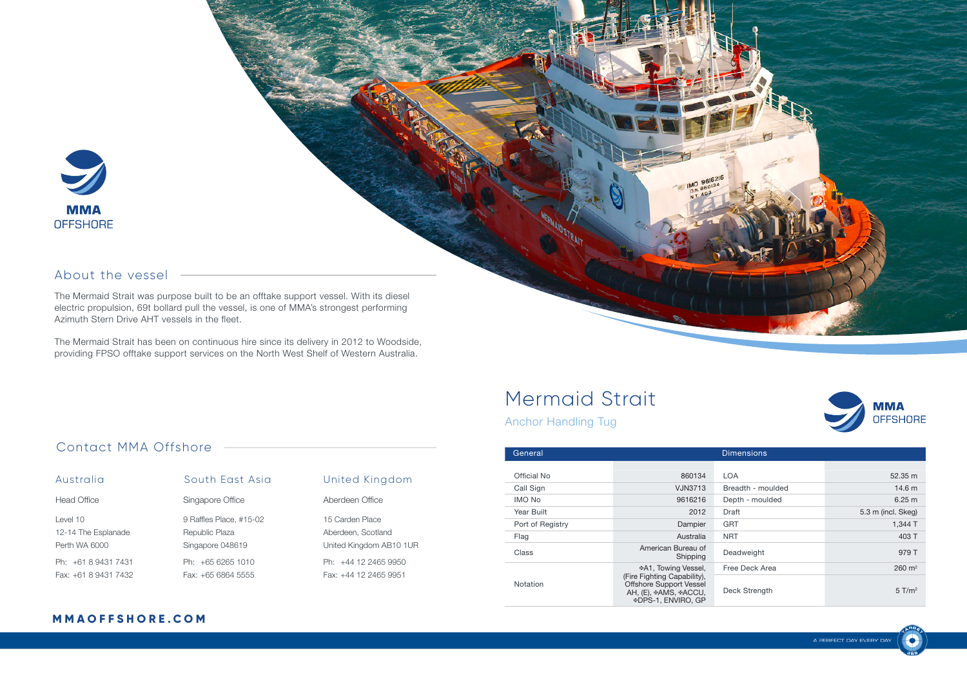

#### About the vessel

The Mermaid Strait was purpose built to be an offtake support vessel. With its diesel electric propulsion, 69t bollard pull the vessel, is one of MMA's strongest performing Azimuth Stern Drive AHT vessels in the fleet.

The Mermaid Strait has been on continuous hire since its delivery in 2012 to Woodside, providing FPSO offtake support services on the North West Shelf of Western Australia.

## Mermaid Strait



Anchor Handling Tug

| General          |                                                                                                                            | <b>Dimensions</b> |                      |
|------------------|----------------------------------------------------------------------------------------------------------------------------|-------------------|----------------------|
|                  |                                                                                                                            |                   |                      |
| Official No      | 860134                                                                                                                     | <b>LOA</b>        | 52.35 m              |
| Call Sign        | VJN3713                                                                                                                    | Breadth - moulded | 14.6 <sub>m</sub>    |
| <b>IMO No</b>    | 9616216                                                                                                                    | Depth - moulded   | 6.25 m               |
| Year Built       | 2012                                                                                                                       | Draft             | 5.3 m (incl. Skeg)   |
| Port of Registry | Dampier                                                                                                                    | GRT               | 1,344 T              |
| Flag             | Australia                                                                                                                  | <b>NRT</b>        | 403 T                |
| Class            | American Bureau of<br>Shipping                                                                                             | Deadweight        | 979 T                |
| Notation         | *A1, Towing Vessel,                                                                                                        | Free Deck Area    | $260 \text{ m}^2$    |
|                  | (Fire Fighting Capability),<br><b>Offshore Support Vessel</b><br>AH, (E), +AMS, +ACCU,<br><b><i>∗DPS-1, ENVIRO, GP</i></b> | Deck Strength     | $5$ T/m <sup>2</sup> |

#### Contact MMA Offshore

| Australia            | South East Asia         |
|----------------------|-------------------------|
| <b>Head Office</b>   | Singapore Office        |
| Level 10             | 9 Raffles Place, #15-02 |
| 12-14 The Esplanade  | Republic Plaza          |
| Perth WA 6000        | Singapore 048619        |
| $Ph: +61894317431$   | $Ph: +6562651010$       |
| Fax: +61 8 9431 7432 | Fax: +65 6864 5555      |

#### **United Kingdom** Aberdeen Office 15 Carden Place Aberdeen, Scotland United Kingdom AB10 1UR Ph: +44 12 2465 9950 Fax: +44 12 2465 9951

#### **M M A O F F S H O R E . C O M**